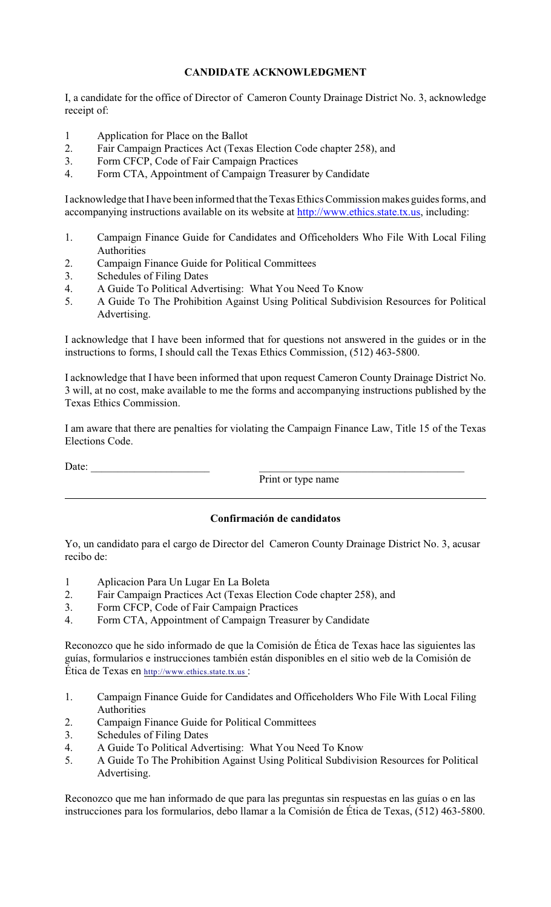## **CANDIDATE ACKNOWLEDGMENT**

I, a candidate for the office of Director of Cameron County Drainage District No. 3, acknowledge receipt of:

- 1 Application for Place on the Ballot
- 2. Fair Campaign Practices Act (Texas Election Code chapter 258), and
- 3. Form CFCP, Code of Fair Campaign Practices
- 4. Form CTA, Appointment of Campaign Treasurer by Candidate

I acknowledge that I have been informed that the Texas Ethics Commission makes guides forms, and accompanying instructions available on its website at<http://www.ethics.state.tx.us>, including:

- 1. Campaign Finance Guide for Candidates and Officeholders Who File With Local Filing Authorities
- 2. Campaign Finance Guide for Political Committees
- 3. Schedules of Filing Dates
- 4. A Guide To Political Advertising: What You Need To Know<br>5. A Guide To The Prohibition Against Using Political Subdivi
- 5. A Guide To The Prohibition Against Using Political Subdivision Resources for Political Advertising.

I acknowledge that I have been informed that for questions not answered in the guides or in the instructions to forms, I should call the Texas Ethics Commission, (512) 463-5800.

I acknowledge that I have been informed that upon request Cameron County Drainage District No. 3 will, at no cost, make available to me the forms and accompanying instructions published by the Texas Ethics Commission.

I am aware that there are penalties for violating the Campaign Finance Law, Title 15 of the Texas Elections Code.

Date:  $\Box$ 

Print or type name

## **Confirmación de candidatos**

Yo, un candidato para el cargo de Director del Cameron County Drainage District No. 3, acusar recibo de:

- 1 Aplicacion Para Un Lugar En La Boleta
- 2. Fair Campaign Practices Act (Texas Election Code chapter 258), and
- 3. Form CFCP, Code of Fair Campaign Practices
- 4. Form CTA, Appointment of Campaign Treasurer by Candidate

Reconozco que he sido informado de que la Comisión de Ética de Texas hace las siguientes las guías, formularios e instrucciones también están disponibles en el sitio web de la Comisión de Ética de Texas en [http://www.ethics.state.tx.us](http://www.ethics.state.tx.us/) :

- 1. Campaign Finance Guide for Candidates and Officeholders Who File With Local Filing Authorities
- 2. Campaign Finance Guide for Political Committees
- 3. Schedules of Filing Dates
- 4. A Guide To Political Advertising: What You Need To Know
- 5. A Guide To The Prohibition Against Using Political Subdivision Resources for Political Advertising.

Reconozco que me han informado de que para las preguntas sin respuestas en las guías o en las instrucciones para los formularios, debo llamar a la Comisión de Ética de Texas, (512) 463-5800.